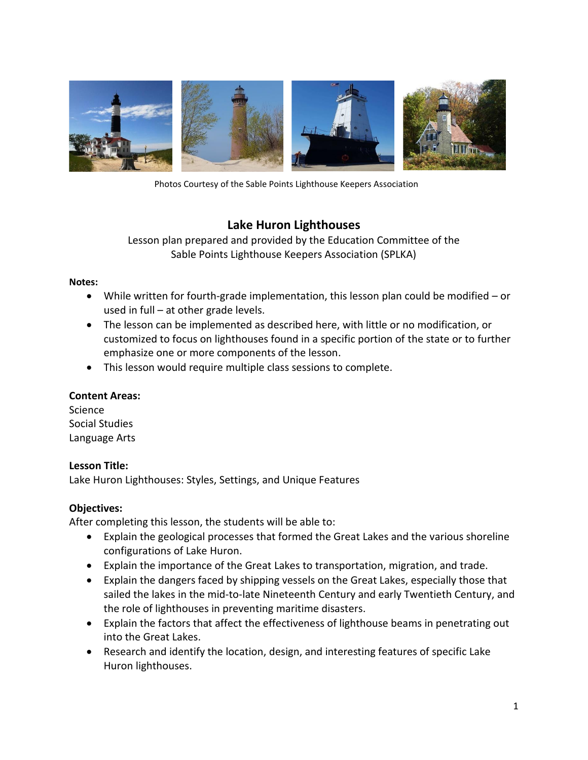

Photos Courtesy of the Sable Points Lighthouse Keepers Association

# **Lake Huron Lighthouses**

Lesson plan prepared and provided by the Education Committee of the Sable Points Lighthouse Keepers Association (SPLKA)

## **Notes:**

- While written for fourth-grade implementation, this lesson plan could be modified or used in full – at other grade levels.
- The lesson can be implemented as described here, with little or no modification, or customized to focus on lighthouses found in a specific portion of the state or to further emphasize one or more components of the lesson.
- This lesson would require multiple class sessions to complete.

## **Content Areas:**

Science Social Studies Language Arts

## **Lesson Title:**

Lake Huron Lighthouses: Styles, Settings, and Unique Features

## **Objectives:**

After completing this lesson, the students will be able to:

- Explain the geological processes that formed the Great Lakes and the various shoreline configurations of Lake Huron.
- Explain the importance of the Great Lakes to transportation, migration, and trade.
- Explain the dangers faced by shipping vessels on the Great Lakes, especially those that sailed the lakes in the mid-to-late Nineteenth Century and early Twentieth Century, and the role of lighthouses in preventing maritime disasters.
- Explain the factors that affect the effectiveness of lighthouse beams in penetrating out into the Great Lakes.
- Research and identify the location, design, and interesting features of specific Lake Huron lighthouses.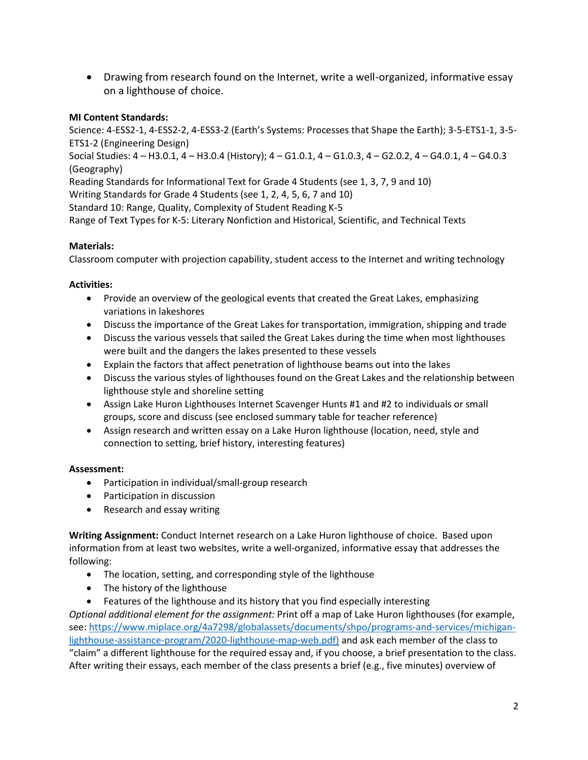• Drawing from research found on the Internet, write a well-organized, informative essay on a lighthouse of choice.

## **MI Content Standards:**

Science: 4-ESS2-1, 4-ESS2-2, 4-ESS3-2 (Earth's Systems: Processes that Shape the Earth); 3-5-ETS1-1, 3-5- ETS1-2 (Engineering Design) Social Studies: 4 – H3.0.1, 4 – H3.0.4 (History); 4 – G1.0.1, 4 – G1.0.3, 4 – G2.0.2, 4 – G4.0.1, 4 – G4.0.3 (Geography) Reading Standards for Informational Text for Grade 4 Students (see 1, 3, 7, 9 and 10) Writing Standards for Grade 4 Students (see 1, 2, 4, 5, 6, 7 and 10) Standard 10: Range, Quality, Complexity of Student Reading K-5 Range of Text Types for K-5: Literary Nonfiction and Historical, Scientific, and Technical Texts

## **Materials:**

Classroom computer with projection capability, student access to the Internet and writing technology

## **Activities:**

- Provide an overview of the geological events that created the Great Lakes, emphasizing variations in lakeshores
- Discuss the importance of the Great Lakes for transportation, immigration, shipping and trade
- Discuss the various vessels that sailed the Great Lakes during the time when most lighthouses were built and the dangers the lakes presented to these vessels
- Explain the factors that affect penetration of lighthouse beams out into the lakes
- Discuss the various styles of lighthouses found on the Great Lakes and the relationship between lighthouse style and shoreline setting
- Assign Lake Huron Lighthouses Internet Scavenger Hunts #1 and #2 to individuals or small groups, score and discuss (see enclosed summary table for teacher reference)
- Assign research and written essay on a Lake Huron lighthouse (location, need, style and connection to setting, brief history, interesting features)

## **Assessment:**

- Participation in individual/small-group research
- Participation in discussion
- Research and essay writing

**Writing Assignment:** Conduct Internet research on a Lake Huron lighthouse of choice. Based upon information from at least two websites, write a well-organized, informative essay that addresses the following:

- The location, setting, and corresponding style of the lighthouse
- The history of the lighthouse
- Features of the lighthouse and its history that you find especially interesting

*Optional additional element for the assignment:* Print off a map of Lake Huron lighthouses (for example, see[: https://www.miplace.org/4a7298/globalassets/documents/shpo/programs-and-services/michigan](https://www.miplace.org/4a7298/globalassets/documents/shpo/programs-and-services/michigan-lighthouse-assistance-program/2020-lighthouse-map-web.pdf)[lighthouse-assistance-program/2020-lighthouse-map-web.pdf\)](https://www.miplace.org/4a7298/globalassets/documents/shpo/programs-and-services/michigan-lighthouse-assistance-program/2020-lighthouse-map-web.pdf) and ask each member of the class to "claim" a different lighthouse for the required essay and, if you choose, a brief presentation to the class. After writing their essays, each member of the class presents a brief (e.g., five minutes) overview of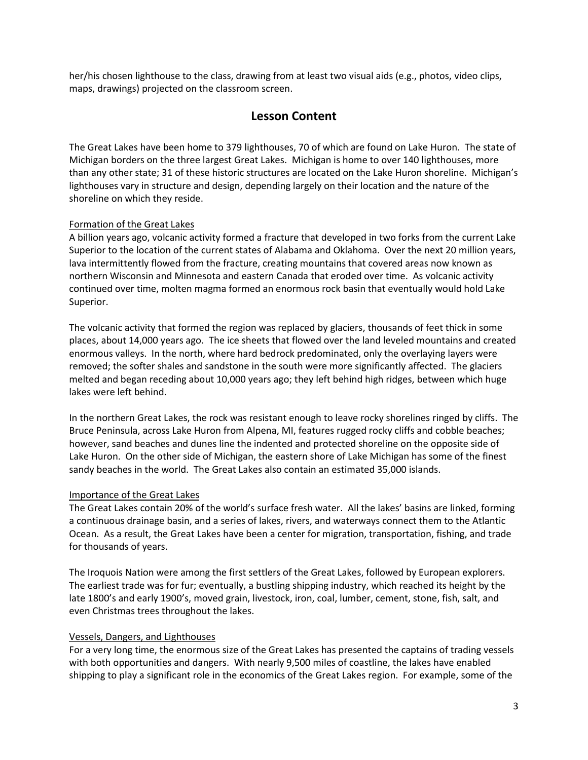her/his chosen lighthouse to the class, drawing from at least two visual aids (e.g., photos, video clips, maps, drawings) projected on the classroom screen.

## **Lesson Content**

The Great Lakes have been home to 379 lighthouses, 70 of which are found on Lake Huron. The state of Michigan borders on the three largest Great Lakes. Michigan is home to over 140 lighthouses, more than any other state; 31 of these historic structures are located on the Lake Huron shoreline. Michigan's lighthouses vary in structure and design, depending largely on their location and the nature of the shoreline on which they reside.

### Formation of the Great Lakes

A billion years ago, volcanic activity formed a fracture that developed in two forks from the current Lake Superior to the location of the current states of Alabama and Oklahoma. Over the next 20 million years, lava intermittently flowed from the fracture, creating mountains that covered areas now known as northern Wisconsin and Minnesota and eastern Canada that eroded over time. As volcanic activity continued over time, molten magma formed an enormous rock basin that eventually would hold Lake Superior.

The volcanic activity that formed the region was replaced by glaciers, thousands of feet thick in some places, about 14,000 years ago. The ice sheets that flowed over the land leveled mountains and created enormous valleys. In the north, where hard bedrock predominated, only the overlaying layers were removed; the softer shales and sandstone in the south were more significantly affected. The glaciers melted and began receding about 10,000 years ago; they left behind high ridges, between which huge lakes were left behind.

In the northern Great Lakes, the rock was resistant enough to leave rocky shorelines ringed by cliffs. The Bruce Peninsula, across Lake Huron from Alpena, MI, features rugged rocky cliffs and cobble beaches; however, sand beaches and dunes line the indented and protected shoreline on the opposite side of Lake Huron. On the other side of Michigan, the eastern shore of Lake Michigan has some of the finest sandy beaches in the world. The Great Lakes also contain an estimated 35,000 islands.

### Importance of the Great Lakes

The Great Lakes contain 20% of the world's surface fresh water. All the lakes' basins are linked, forming a continuous drainage basin, and a series of lakes, rivers, and waterways connect them to the Atlantic Ocean. As a result, the Great Lakes have been a center for migration, transportation, fishing, and trade for thousands of years.

The Iroquois Nation were among the first settlers of the Great Lakes, followed by European explorers. The earliest trade was for fur; eventually, a bustling shipping industry, which reached its height by the late 1800's and early 1900's, moved grain, livestock, iron, coal, lumber, cement, stone, fish, salt, and even Christmas trees throughout the lakes.

### Vessels, Dangers, and Lighthouses

For a very long time, the enormous size of the Great Lakes has presented the captains of trading vessels with both opportunities and dangers. With nearly 9,500 miles of coastline, the lakes have enabled shipping to play a significant role in the economics of the Great Lakes region. For example, some of the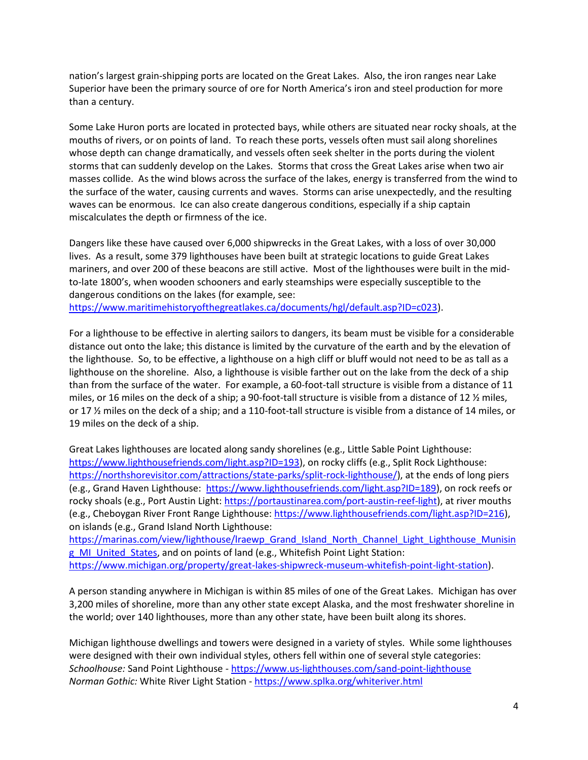nation's largest grain-shipping ports are located on the Great Lakes. Also, the iron ranges near Lake Superior have been the primary source of ore for North America's iron and steel production for more than a century.

Some Lake Huron ports are located in protected bays, while others are situated near rocky shoals, at the mouths of rivers, or on points of land. To reach these ports, vessels often must sail along shorelines whose depth can change dramatically, and vessels often seek shelter in the ports during the violent storms that can suddenly develop on the Lakes. Storms that cross the Great Lakes arise when two air masses collide. As the wind blows across the surface of the lakes, energy is transferred from the wind to the surface of the water, causing currents and waves. Storms can arise unexpectedly, and the resulting waves can be enormous. Ice can also create dangerous conditions, especially if a ship captain miscalculates the depth or firmness of the ice.

Dangers like these have caused over 6,000 shipwrecks in the Great Lakes, with a loss of over 30,000 lives. As a result, some 379 lighthouses have been built at strategic locations to guide Great Lakes mariners, and over 200 of these beacons are still active. Most of the lighthouses were built in the midto-late 1800's, when wooden schooners and early steamships were especially susceptible to the dangerous conditions on the lakes (for example, see:

[https://www.maritimehistoryofthegreatlakes.ca/documents/hgl/default.asp?ID=c023\)](https://www.maritimehistoryofthegreatlakes.ca/documents/hgl/default.asp?ID=c023).

For a lighthouse to be effective in alerting sailors to dangers, its beam must be visible for a considerable distance out onto the lake; this distance is limited by the curvature of the earth and by the elevation of the lighthouse. So, to be effective, a lighthouse on a high cliff or bluff would not need to be as tall as a lighthouse on the shoreline. Also, a lighthouse is visible farther out on the lake from the deck of a ship than from the surface of the water. For example, a 60-foot-tall structure is visible from a distance of 11 miles, or 16 miles on the deck of a ship; a 90-foot-tall structure is visible from a distance of 12 ½ miles, or 17 ½ miles on the deck of a ship; and a 110-foot-tall structure is visible from a distance of 14 miles, or 19 miles on the deck of a ship.

Great Lakes lighthouses are located along sandy shorelines (e.g., Little Sable Point Lighthouse: [https://www.lighthousefriends.com/light.asp?ID=193\)](https://www.lighthousefriends.com/light.asp?ID=193), on rocky cliffs (e.g., Split Rock Lighthouse: [https://northshorevisitor.com/attractions/state-parks/split-rock-lighthouse/\)](https://northshorevisitor.com/attractions/state-parks/split-rock-lighthouse/), at the ends of long piers (e.g., Grand Haven Lighthouse: [https://www.lighthousefriends.com/light.asp?ID=189\)](https://www.lighthousefriends.com/light.asp?ID=189), on rock reefs or rocky shoals (e.g., Port Austin Light[: https://portaustinarea.com/port-austin-reef-light\)](https://portaustinarea.com/port-austin-reef-light), at river mouths (e.g., Cheboygan River Front Range Lighthouse[: https://www.lighthousefriends.com/light.asp?ID=216\)](https://www.lighthousefriends.com/light.asp?ID=216), on islands (e.g., Grand Island North Lighthouse:

https://marinas.com/view/lighthouse/Iraewp\_Grand\_Island\_North\_Channel\_Light\_Lighthouse\_Munisin g MI United States, and on points of land (e.g., Whitefish Point Light Station: [https://www.michigan.org/property/great-lakes-shipwreck-museum-whitefish-point-light-station\)](https://www.michigan.org/property/great-lakes-shipwreck-museum-whitefish-point-light-station).

A person standing anywhere in Michigan is within 85 miles of one of the Great Lakes. Michigan has over 3,200 miles of shoreline, more than any other state except Alaska, and the most freshwater shoreline in the world; over 140 lighthouses, more than any other state, have been built along its shores.

Michigan lighthouse dwellings and towers were designed in a variety of styles. While some lighthouses were designed with their own individual styles, others fell within one of several style categories: *Schoolhouse:* Sand Point Lighthouse - <https://www.us-lighthouses.com/sand-point-lighthouse> *Norman Gothic:* White River Light Station - <https://www.splka.org/whiteriver.html>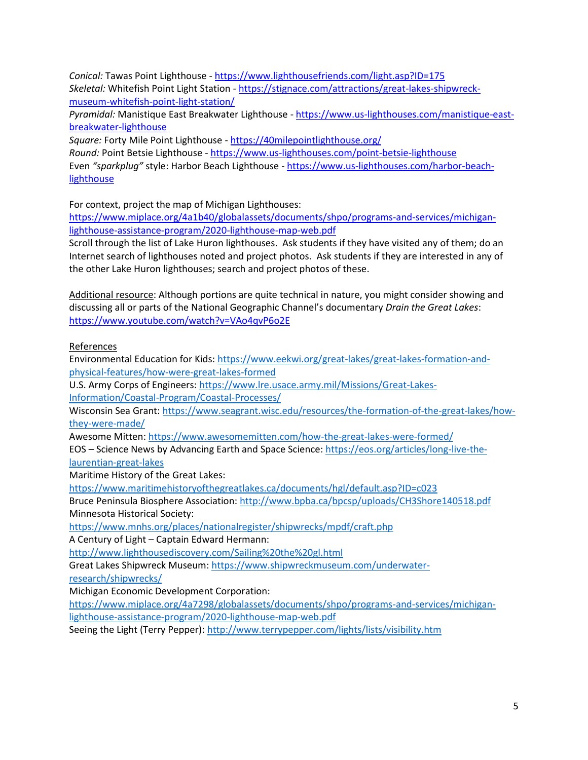*Conical:* Tawas Point Lighthouse - <https://www.lighthousefriends.com/light.asp?ID=175> *Skeletal:* Whitefish Point Light Station - [https://stignace.com/attractions/great-lakes-shipwreck](https://stignace.com/attractions/great-lakes-shipwreck-museum-whitefish-point-light-station/)[museum-whitefish-point-light-station/](https://stignace.com/attractions/great-lakes-shipwreck-museum-whitefish-point-light-station/)

*Pyramidal:* Manistique East Breakwater Lighthouse - [https://www.us-lighthouses.com/manistique-east](https://www.us-lighthouses.com/manistique-east-breakwater-lighthouse)[breakwater-lighthouse](https://www.us-lighthouses.com/manistique-east-breakwater-lighthouse)

*Square:* Forty Mile Point Lighthouse - <https://40milepointlighthouse.org/> *Round:* Point Betsie Lighthouse - <https://www.us-lighthouses.com/point-betsie-lighthouse> Even *"sparkplug"* style: Harbor Beach Lighthouse - [https://www.us-lighthouses.com/harbor-beach](https://www.us-lighthouses.com/harbor-beach-lighthouse)**[lighthouse](https://www.us-lighthouses.com/harbor-beach-lighthouse)** 

For context, project the map of Michigan Lighthouses:

[https://www.miplace.org/4a1b40/globalassets/documents/shpo/programs-and-services/michigan](https://www.miplace.org/4a1b40/globalassets/documents/shpo/programs-and-services/michigan-lighthouse-assistance-program/2020-lighthouse-map-web.pdf)[lighthouse-assistance-program/2020-lighthouse-map-web.pdf](https://www.miplace.org/4a1b40/globalassets/documents/shpo/programs-and-services/michigan-lighthouse-assistance-program/2020-lighthouse-map-web.pdf)

Scroll through the list of Lake Huron lighthouses. Ask students if they have visited any of them; do an Internet search of lighthouses noted and project photos. Ask students if they are interested in any of the other Lake Huron lighthouses; search and project photos of these.

Additional resource: Although portions are quite technical in nature, you might consider showing and discussing all or parts of the National Geographic Channel's documentary *Drain the Great Lakes*: <https://www.youtube.com/watch?v=VAo4qvP6o2E>

References

Environmental Education for Kids: [https://www.eekwi.org/great-lakes/great-lakes-formation-and](https://www.eekwi.org/great-lakes/great-lakes-formation-and-physical-features/how-were-great-lakes-formed)[physical-features/how-were-great-lakes-formed](https://www.eekwi.org/great-lakes/great-lakes-formation-and-physical-features/how-were-great-lakes-formed)

U.S. Army Corps of Engineers[: https://www.lre.usace.army.mil/Missions/Great-Lakes-](https://www.lre.usace.army.mil/Missions/Great-Lakes-Information/Coastal-Program/Coastal-Processes/)[Information/Coastal-Program/Coastal-Processes/](https://www.lre.usace.army.mil/Missions/Great-Lakes-Information/Coastal-Program/Coastal-Processes/)

Wisconsin Sea Grant: [https://www.seagrant.wisc.edu/resources/the-formation-of-the-great-lakes/how](https://www.seagrant.wisc.edu/resources/the-formation-of-the-great-lakes/how-they-were-made/)[they-were-made/](https://www.seagrant.wisc.edu/resources/the-formation-of-the-great-lakes/how-they-were-made/)

Awesome Mitten[: https://www.awesomemitten.com/how-the-great-lakes-were-formed/](https://www.awesomemitten.com/how-the-great-lakes-were-formed/)

EOS – Science News by Advancing Earth and Space Science: [https://eos.org/articles/long-live-the](https://eos.org/articles/long-live-the-laurentian-great-lakes)[laurentian-great-lakes](https://eos.org/articles/long-live-the-laurentian-great-lakes)

Maritime History of the Great Lakes:

https://www.maritimehistoryofthegreatlakes.ca/documents/hgl/default.asp?ID=c023

Bruce Peninsula Biosphere Association[: http://www.bpba.ca/bpcsp/uploads/CH3Shore140518.pdf](http://www.bpba.ca/bpcsp/uploads/CH3Shore140518.pdf) Minnesota Historical Society:

<https://www.mnhs.org/places/nationalregister/shipwrecks/mpdf/craft.php>

A Century of Light – Captain Edward Hermann:

<http://www.lighthousediscovery.com/Sailing%20the%20gl.html>

Great Lakes Shipwreck Museum: [https://www.shipwreckmuseum.com/underwater-](https://www.shipwreckmuseum.com/underwater-research/shipwrecks/)

[research/shipwrecks/](https://www.shipwreckmuseum.com/underwater-research/shipwrecks/)

Michigan Economic Development Corporation:

[https://www.miplace.org/4a7298/globalassets/documents/shpo/programs-and-services/michigan](https://www.miplace.org/4a7298/globalassets/documents/shpo/programs-and-services/michigan-lighthouse-assistance-program/2020-lighthouse-map-web.pdf)[lighthouse-assistance-program/2020-lighthouse-map-web.pdf](https://www.miplace.org/4a7298/globalassets/documents/shpo/programs-and-services/michigan-lighthouse-assistance-program/2020-lighthouse-map-web.pdf)

Seeing the Light (Terry Pepper):<http://www.terrypepper.com/lights/lists/visibility.htm>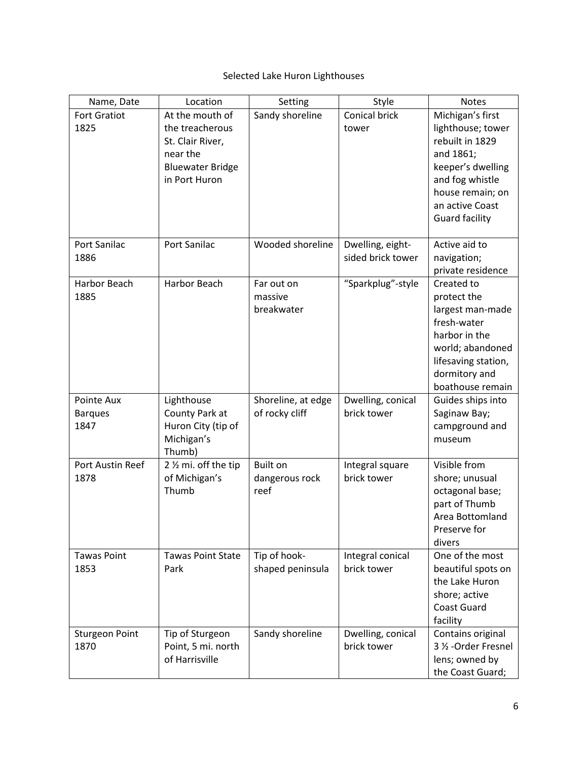# Selected Lake Huron Lighthouses

| Name, Date            | Location                 | Setting                | Style             | <b>Notes</b>                             |
|-----------------------|--------------------------|------------------------|-------------------|------------------------------------------|
| <b>Fort Gratiot</b>   | At the mouth of          | Sandy shoreline        | Conical brick     | Michigan's first                         |
| 1825                  | the treacherous          |                        | tower             | lighthouse; tower                        |
|                       | St. Clair River,         |                        |                   | rebuilt in 1829                          |
|                       | near the                 |                        |                   | and 1861;                                |
|                       | <b>Bluewater Bridge</b>  |                        |                   | keeper's dwelling                        |
|                       | in Port Huron            |                        |                   | and fog whistle                          |
|                       |                          |                        |                   | house remain; on                         |
|                       |                          |                        |                   | an active Coast<br><b>Guard facility</b> |
|                       |                          |                        |                   |                                          |
| Port Sanilac          | Port Sanilac             | Wooded shoreline       | Dwelling, eight-  | Active aid to                            |
| 1886                  |                          |                        | sided brick tower | navigation;                              |
|                       |                          |                        |                   | private residence                        |
| Harbor Beach          | <b>Harbor Beach</b>      | Far out on             | "Sparkplug"-style | Created to                               |
| 1885                  |                          | massive                |                   | protect the                              |
|                       |                          | breakwater             |                   | largest man-made                         |
|                       |                          |                        |                   | fresh-water<br>harbor in the             |
|                       |                          |                        |                   | world; abandoned                         |
|                       |                          |                        |                   | lifesaving station,                      |
|                       |                          |                        |                   | dormitory and                            |
|                       |                          |                        |                   | boathouse remain                         |
| Pointe Aux            | Lighthouse               | Shoreline, at edge     | Dwelling, conical | Guides ships into                        |
| <b>Barques</b>        | County Park at           | of rocky cliff         | brick tower       | Saginaw Bay;                             |
| 1847                  | Huron City (tip of       |                        |                   | campground and                           |
|                       | Michigan's               |                        |                   | museum                                   |
|                       | Thumb)                   |                        |                   |                                          |
| Port Austin Reef      | 2 % mi. off the tip      | Built on               | Integral square   | Visible from                             |
| 1878                  | of Michigan's<br>Thumb   | dangerous rock<br>reef | brick tower       | shore; unusual<br>octagonal base;        |
|                       |                          |                        |                   | part of Thumb                            |
|                       |                          |                        |                   | Area Bottomland                          |
|                       |                          |                        |                   | Preserve for                             |
|                       |                          |                        |                   | divers                                   |
| <b>Tawas Point</b>    | <b>Tawas Point State</b> | Tip of hook-           | Integral conical  | One of the most                          |
| 1853                  | Park                     | shaped peninsula       | brick tower       | beautiful spots on                       |
|                       |                          |                        |                   | the Lake Huron                           |
|                       |                          |                        |                   | shore; active                            |
|                       |                          |                        |                   | <b>Coast Guard</b>                       |
|                       |                          |                        |                   | facility                                 |
| <b>Sturgeon Point</b> | Tip of Sturgeon          | Sandy shoreline        | Dwelling, conical | Contains original                        |
| 1870                  | Point, 5 mi. north       |                        | brick tower       | 3 1/2 - Order Fresnel                    |
|                       | of Harrisville           |                        |                   | lens; owned by                           |
|                       |                          |                        |                   | the Coast Guard;                         |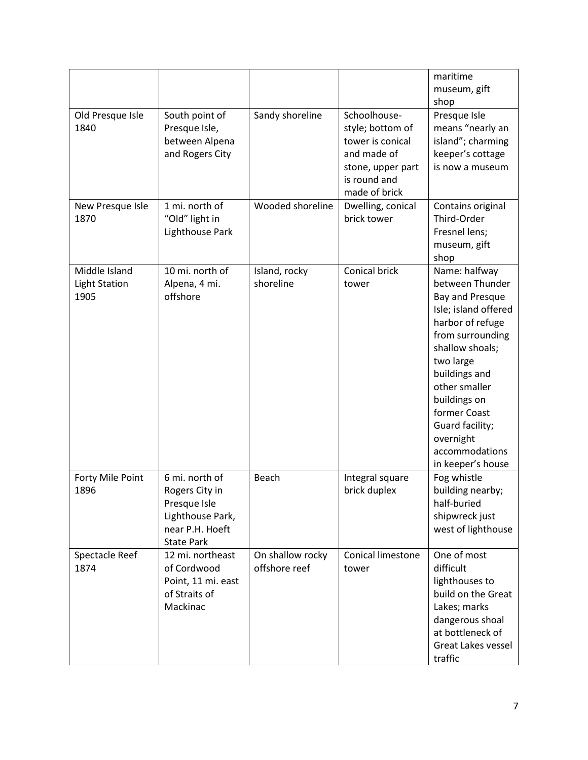|                                               |                                                                                                              |                                   |                                                                                                                           | maritime<br>museum, gift<br>shop                                                                                                                                                                                                                                                             |
|-----------------------------------------------|--------------------------------------------------------------------------------------------------------------|-----------------------------------|---------------------------------------------------------------------------------------------------------------------------|----------------------------------------------------------------------------------------------------------------------------------------------------------------------------------------------------------------------------------------------------------------------------------------------|
| Old Presque Isle<br>1840                      | South point of<br>Presque Isle,<br>between Alpena<br>and Rogers City                                         | Sandy shoreline                   | Schoolhouse-<br>style; bottom of<br>tower is conical<br>and made of<br>stone, upper part<br>is round and<br>made of brick | Presque Isle<br>means "nearly an<br>island"; charming<br>keeper's cottage<br>is now a museum                                                                                                                                                                                                 |
| New Presque Isle<br>1870                      | 1 mi. north of<br>"Old" light in<br>Lighthouse Park                                                          | Wooded shoreline                  | Dwelling, conical<br>brick tower                                                                                          | Contains original<br>Third-Order<br>Fresnel lens;<br>museum, gift<br>shop                                                                                                                                                                                                                    |
| Middle Island<br><b>Light Station</b><br>1905 | 10 mi. north of<br>Alpena, 4 mi.<br>offshore                                                                 | Island, rocky<br>shoreline        | Conical brick<br>tower                                                                                                    | Name: halfway<br>between Thunder<br>Bay and Presque<br>Isle; island offered<br>harbor of refuge<br>from surrounding<br>shallow shoals;<br>two large<br>buildings and<br>other smaller<br>buildings on<br>former Coast<br>Guard facility;<br>overnight<br>accommodations<br>in keeper's house |
| Forty Mile Point<br>1896                      | 6 mi. north of<br>Rogers City in<br>Presque Isle<br>Lighthouse Park,<br>near P.H. Hoeft<br><b>State Park</b> | Beach                             | Integral square<br>brick duplex                                                                                           | Fog whistle<br>building nearby;<br>half-buried<br>shipwreck just<br>west of lighthouse                                                                                                                                                                                                       |
| Spectacle Reef<br>1874                        | 12 mi. northeast<br>of Cordwood<br>Point, 11 mi. east<br>of Straits of<br>Mackinac                           | On shallow rocky<br>offshore reef | Conical limestone<br>tower                                                                                                | One of most<br>difficult<br>lighthouses to<br>build on the Great<br>Lakes; marks<br>dangerous shoal<br>at bottleneck of<br>Great Lakes vessel<br>traffic                                                                                                                                     |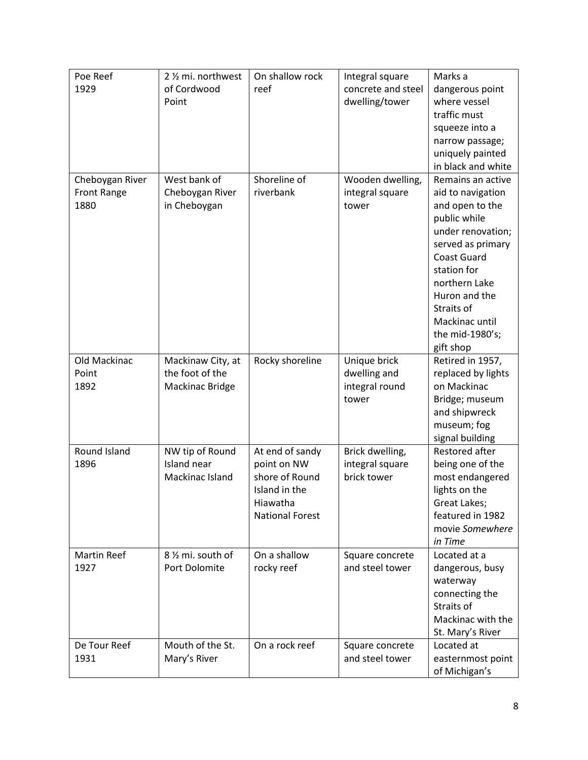| Poe Reef<br>1929   | 2 % mi. northwest<br>of Cordwood<br>Point | On shallow rock<br>reef            | Integral square<br>concrete and steel<br>dwelling/tower | Marks a<br>dangerous point<br>where vessel |
|--------------------|-------------------------------------------|------------------------------------|---------------------------------------------------------|--------------------------------------------|
|                    |                                           |                                    |                                                         | traffic must                               |
|                    |                                           |                                    |                                                         | squeeze into a                             |
|                    |                                           |                                    |                                                         | narrow passage;                            |
|                    |                                           |                                    |                                                         | uniquely painted                           |
|                    |                                           |                                    |                                                         | in black and white                         |
| Cheboygan River    | West bank of                              | Shoreline of                       | Wooden dwelling,                                        | Remains an active                          |
| <b>Front Range</b> | Cheboygan River                           | riverbank                          | integral square                                         | aid to navigation                          |
| 1880               | in Cheboygan                              |                                    | tower                                                   | and open to the                            |
|                    |                                           |                                    |                                                         | public while                               |
|                    |                                           |                                    |                                                         | under renovation;                          |
|                    |                                           |                                    |                                                         | served as primary                          |
|                    |                                           |                                    |                                                         | <b>Coast Guard</b>                         |
|                    |                                           |                                    |                                                         | station for                                |
|                    |                                           |                                    |                                                         | northern Lake                              |
|                    |                                           |                                    |                                                         | Huron and the<br>Straits of                |
|                    |                                           |                                    |                                                         | Mackinac until                             |
|                    |                                           |                                    |                                                         | the mid-1980's;                            |
|                    |                                           |                                    |                                                         | gift shop                                  |
| Old Mackinac       | Mackinaw City, at                         | Rocky shoreline                    | Unique brick                                            | Retired in 1957,                           |
| Point              | the foot of the                           |                                    | dwelling and                                            | replaced by lights                         |
| 1892               | Mackinac Bridge                           |                                    | integral round                                          | on Mackinac                                |
|                    |                                           |                                    | tower                                                   | Bridge; museum                             |
|                    |                                           |                                    |                                                         | and shipwreck                              |
|                    |                                           |                                    |                                                         | museum; fog                                |
|                    |                                           |                                    |                                                         | signal building                            |
| Round Island       | NW tip of Round                           | At end of sandy                    | Brick dwelling,                                         | Restored after                             |
| 1896               | Island near                               | point on NW                        | integral square                                         | being one of the                           |
|                    | Mackinac Island                           | shore of Round                     | brick tower                                             | most endangered                            |
|                    |                                           | Island in the                      |                                                         | lights on the                              |
|                    |                                           | Hiawatha<br><b>National Forest</b> |                                                         | Great Lakes;<br>featured in 1982           |
|                    |                                           |                                    |                                                         | movie Somewhere                            |
|                    |                                           |                                    |                                                         | in Time                                    |
| <b>Martin Reef</b> | 8 1/2 mi. south of                        | On a shallow                       | Square concrete                                         | Located at a                               |
| 1927               | Port Dolomite                             | rocky reef                         | and steel tower                                         | dangerous, busy                            |
|                    |                                           |                                    |                                                         | waterway                                   |
|                    |                                           |                                    |                                                         | connecting the                             |
|                    |                                           |                                    |                                                         | Straits of                                 |
|                    |                                           |                                    |                                                         | Mackinac with the                          |
|                    |                                           |                                    |                                                         | St. Mary's River                           |
| De Tour Reef       | Mouth of the St.                          | On a rock reef                     | Square concrete                                         | Located at                                 |
| 1931               | Mary's River                              |                                    | and steel tower                                         | easternmost point                          |
|                    |                                           |                                    |                                                         | of Michigan's                              |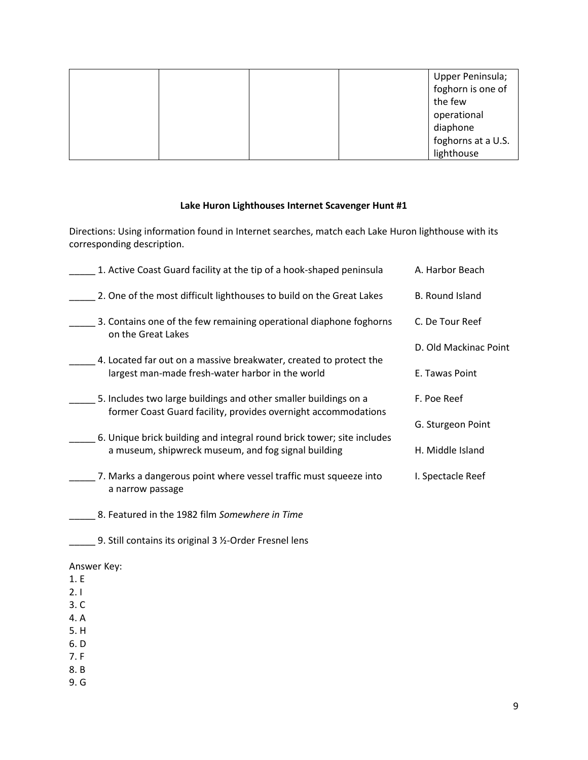|  |  | Upper Peninsula;   |
|--|--|--------------------|
|  |  | foghorn is one of  |
|  |  | the few            |
|  |  | operational        |
|  |  | diaphone           |
|  |  | foghorns at a U.S. |
|  |  | lighthouse         |

### **Lake Huron Lighthouses Internet Scavenger Hunt #1**

Directions: Using information found in Internet searches, match each Lake Huron lighthouse with its corresponding description.

| 1. Active Coast Guard facility at the tip of a hook-shaped peninsula                                                          | A. Harbor Beach        |
|-------------------------------------------------------------------------------------------------------------------------------|------------------------|
| 2. One of the most difficult lighthouses to build on the Great Lakes                                                          | <b>B.</b> Round Island |
| 3. Contains one of the few remaining operational diaphone foghorns<br>on the Great Lakes                                      | C. De Tour Reef        |
|                                                                                                                               | D. Old Mackinac Point  |
| 4. Located far out on a massive breakwater, created to protect the<br>largest man-made fresh-water harbor in the world        | E. Tawas Point         |
| 5. Includes two large buildings and other smaller buildings on a                                                              | F. Poe Reef            |
| former Coast Guard facility, provides overnight accommodations                                                                | G. Sturgeon Point      |
| 6. Unique brick building and integral round brick tower; site includes<br>a museum, shipwreck museum, and fog signal building | H. Middle Island       |
| 7. Marks a dangerous point where vessel traffic must squeeze into                                                             | I. Spectacle Reef      |
| a narrow passage                                                                                                              |                        |
| 8. Featured in the 1982 film Somewhere in Time                                                                                |                        |

\_\_\_\_\_ 9. Still contains its original 3 ½-Order Fresnel lens

### Answer Key:

- 1. E
- 2. I
- 3. C
- 4. A
- 5. H
- 6. D 7. F
- 
- 8. B 9. G